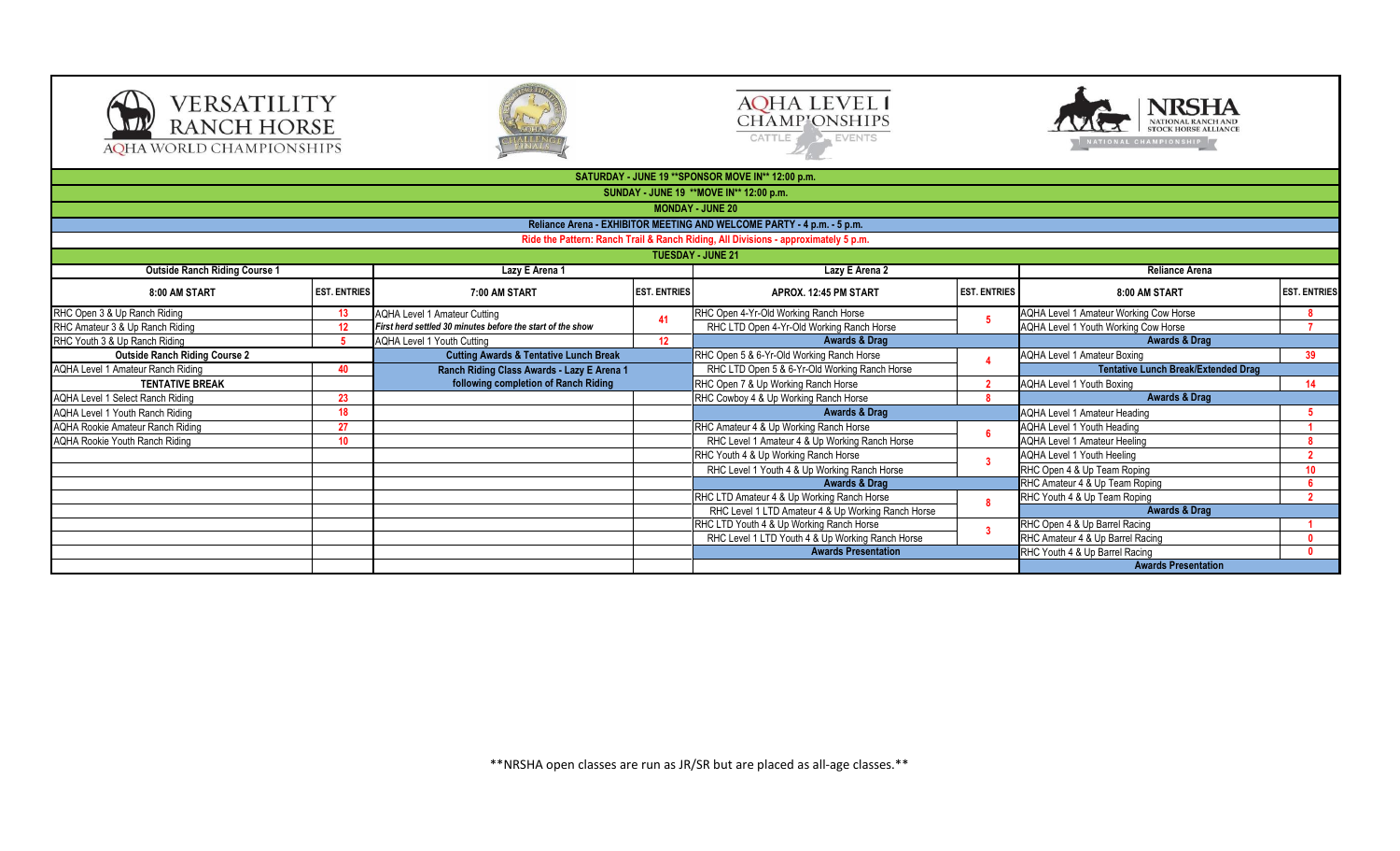







|                                         |                     |                                                            |                     | SATURDAY - JUNE 19 ** SPONSOR MOVE IN** 12:00 p.m.                                 |                     |                                            |                     |
|-----------------------------------------|---------------------|------------------------------------------------------------|---------------------|------------------------------------------------------------------------------------|---------------------|--------------------------------------------|---------------------|
|                                         |                     |                                                            |                     | SUNDAY - JUNE 19 ** MOVE IN** 12:00 p.m.                                           |                     |                                            |                     |
|                                         |                     |                                                            |                     | <b>MONDAY - JUNE 20</b>                                                            |                     |                                            |                     |
|                                         |                     |                                                            |                     | Reliance Arena - EXHIBITOR MEETING AND WELCOME PARTY - 4 p.m. - 5 p.m.             |                     |                                            |                     |
|                                         |                     |                                                            |                     | Ride the Pattern: Ranch Trail & Ranch Riding, All Divisions - approximately 5 p.m. |                     |                                            |                     |
|                                         |                     |                                                            |                     | <b>TUESDAY - JUNE 21</b>                                                           |                     |                                            |                     |
| <b>Outside Ranch Riding Course 1</b>    |                     | Lazy E Arena 1                                             |                     | Lazy E Arena 2                                                                     |                     | <b>Reliance Arena</b>                      |                     |
|                                         |                     |                                                            |                     |                                                                                    |                     |                                            |                     |
| 8:00 AM START                           | <b>EST. ENTRIES</b> | 7:00 AM START                                              | <b>EST. ENTRIES</b> | APROX. 12:45 PM START                                                              | <b>EST. ENTRIES</b> | 8:00 AM START                              | <b>EST. ENTRIES</b> |
| RHC Open 3 & Up Ranch Riding            | 13 <sup>°</sup>     | <b>AQHA Level 1 Amateur Cutting</b>                        |                     | RHC Open 4-Yr-Old Working Ranch Horse                                              |                     | AQHA Level 1 Amateur Working Cow Horse     |                     |
| RHC Amateur 3 & Up Ranch Riding         | 12 <sup>2</sup>     | First herd settled 30 minutes before the start of the show | 41                  | RHC LTD Open 4-Yr-Old Working Ranch Horse                                          |                     | AQHA Level 1 Youth Working Cow Horse       |                     |
| RHC Youth 3 & Up Ranch Riding           |                     | <b>AQHA Level 1 Youth Cutting</b>                          | 12 <sup>2</sup>     | Awards & Drag                                                                      |                     | <b>Awards &amp; Drag</b>                   |                     |
| <b>Outside Ranch Riding Course 2</b>    |                     | <b>Cutting Awards &amp; Tentative Lunch Break</b>          |                     | RHC Open 5 & 6-Yr-Old Working Ranch Horse                                          |                     | <b>AQHA Level 1 Amateur Boxing</b>         | 39                  |
| AQHA Level 1 Amateur Ranch Riding<br>40 |                     | Ranch Riding Class Awards - Lazy E Arena 1                 |                     | RHC LTD Open 5 & 6-Yr-Old Working Ranch Horse                                      |                     | <b>Tentative Lunch Break/Extended Drag</b> |                     |
| <b>TENTATIVE BREAK</b>                  |                     | following completion of Ranch Riding                       |                     | RHC Open 7 & Up Working Ranch Horse                                                |                     | AQHA Level 1 Youth Boxing                  | 14                  |
| AQHA Level 1 Select Ranch Riding        | 23                  |                                                            |                     | RHC Cowboy 4 & Up Working Ranch Horse                                              |                     | <b>Awards &amp; Drag</b>                   |                     |
| AQHA Level 1 Youth Ranch Riding         | 18 <sup>1</sup>     |                                                            |                     | <b>Awards &amp; Drag</b>                                                           |                     | <b>AQHA Level 1 Amateur Heading</b>        | 5                   |
| <b>AQHA Rookie Amateur Ranch Riding</b> | 27                  |                                                            |                     | RHC Amateur 4 & Up Working Ranch Horse                                             |                     | AQHA Level 1 Youth Heading                 |                     |
| AQHA Rookie Youth Ranch Riding          | 10 <sup>°</sup>     |                                                            |                     | RHC Level 1 Amateur 4 & Up Working Ranch Horse                                     |                     | <b>AQHA Level 1 Amateur Heeling</b>        |                     |
|                                         |                     |                                                            |                     | RHC Youth 4 & Up Working Ranch Horse                                               |                     | AQHA Level 1 Youth Heeling                 |                     |
|                                         |                     |                                                            |                     | RHC Level 1 Youth 4 & Up Working Ranch Horse                                       |                     | RHC Open 4 & Up Team Roping                | 10 <sup>1</sup>     |
|                                         |                     |                                                            |                     | Awards & Drag                                                                      |                     | RHC Amateur 4 & Up Team Roping             |                     |
|                                         |                     |                                                            |                     | RHC LTD Amateur 4 & Up Working Ranch Horse                                         |                     | RHC Youth 4 & Up Team Roping               | $\overline{2}$      |
|                                         |                     |                                                            |                     | RHC Level 1 LTD Amateur 4 & Up Working Ranch Horse                                 |                     | <b>Awards &amp; Drag</b>                   |                     |
|                                         |                     |                                                            |                     | RHC LTD Youth 4 & Up Working Ranch Horse                                           |                     | RHC Open 4 & Up Barrel Racing              |                     |
|                                         |                     |                                                            |                     | RHC Level 1 LTD Youth 4 & Up Working Ranch Horse                                   |                     | RHC Amateur 4 & Up Barrel Racing           |                     |
|                                         |                     |                                                            |                     | <b>Awards Presentation</b>                                                         |                     | RHC Youth 4 & Up Barrel Racing             | $\mathbf{0}$        |
|                                         |                     |                                                            |                     |                                                                                    |                     | <b>Awards Presentation</b>                 |                     |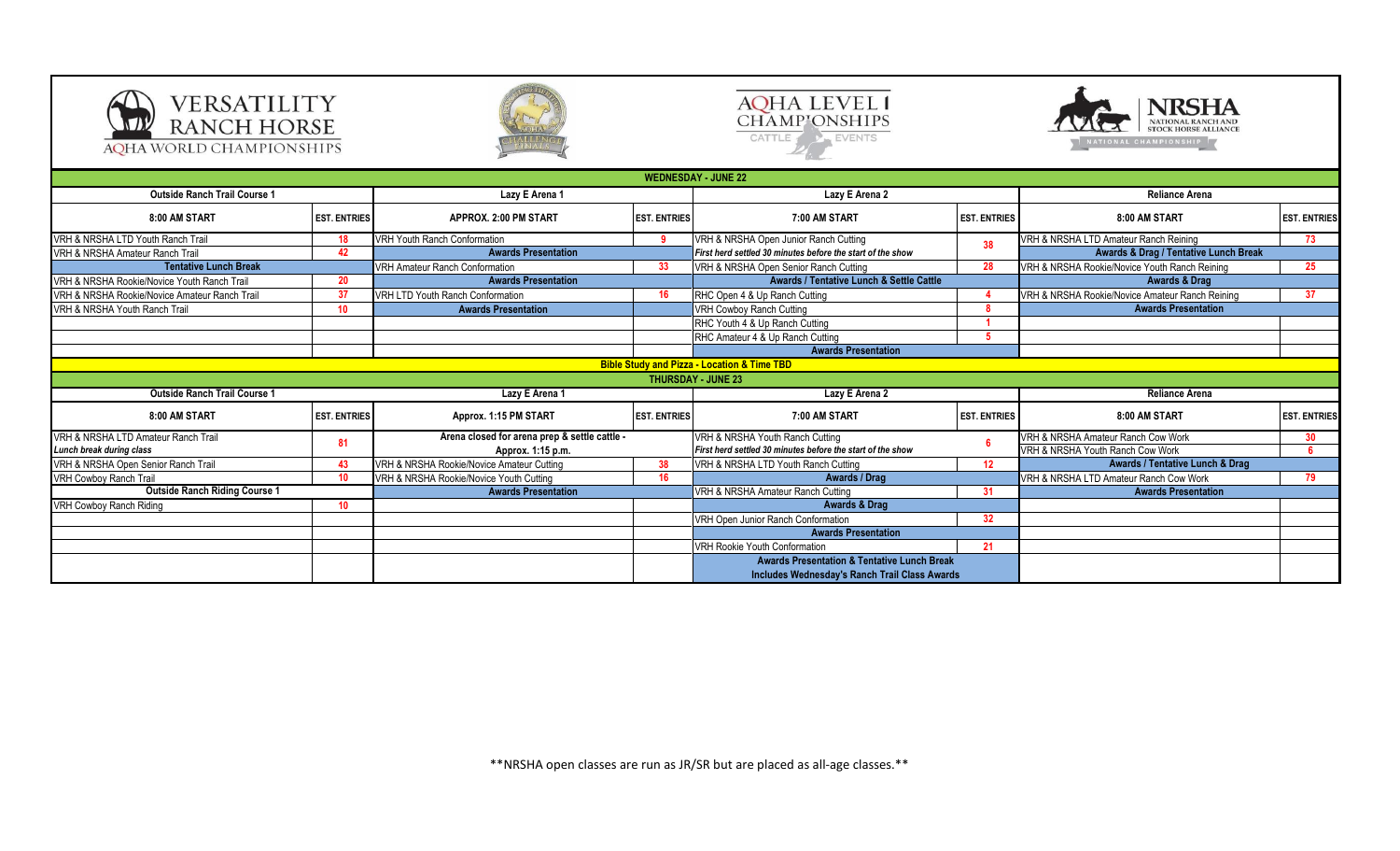







**SATURDAY - JUNE 22:00 p.m. P.M. WEDNESDAY - JUNE 22:00 p.m. p.m. p.m. p.m. p.m. 8:00 AM START EST. ENTRIES APPROX. 2:00 PM START EST. ENTRIES 7:00 AM START EST. ENTRIES 8:00 AM START EST. ENTRIES** VRH & NRSHA LTD Youth Ranch Trail **18** VRH Youth Ranch Conformation **9** VRH & NRSHA Open Junior Ranch Cutting 18 VRH & NRSHA LTD Amateur Ranch Reining **73**<br>VRH & NRSHA Amateur Ranch Trail **19** 42 **Awards Presentation** Firs VRH & NRSHA Amateur Ranch Trail **42** VRH Amateur Ranch Conformation **33** VRH & NRSHA Open Senior Ranch Cutting **28** VRH & NRSHA Rookie/Novice Youth Ranch Reining **25** VRH & NRSHA Rookie/Novice Youth Ranch Trail **20** VRH & NRSHA Rookie/Novice Amateur Ranch Trail **37** VRH LTD Youth Ranch Conformation **16** RHC Open 4 & Up Ranch Cutting **4** VRH & NRSHA Rookie/Novice Amateur Ranch Reining **37** VRH & NRSHA Youth Ranch Trail **10 Awards Presentation 10 Awards Presentation VRH Cowboy Ranch Cutting <b>8 8** RHC Youth 4 & Up Ranch Cutting **1 1 1** RHC Amateur 4 & Up Ranch Cutting **5 8:00 AM START EST. ENTRIES Approx. 1:15 PM START EST. ENTRIES 7:00 AM START EST. ENTRIES 8:00 AM START EST. ENTRIES** VRH & NRSHA Amateur Ranch Cow Work **30** VRH & NRSHA Youth Ranch Cow Work **6** VRH & NRSHA Open Senior Ranch Trail **43** VRH & NRSHA Rookie/Novice Amateur Cutting **38** VRH & NRSHA LTD Youth Ranch Cutting **12** 10 VRH & NRSHA Rookie/Novice Youth Cutting **16** 16 **16** Awards / Drag **Awards / Drag Work 19 VRH & NRSHA LTD** Amateur Ranch Cow Work **79** VRH & NRSHA Amateur Ranch Cutting **31** VRH Cowboy Ranch Riding **10** VRH Open Junior Ranch Conformation **32** VRH Rookie Youth Conformation **21 Awards Presentation Arena closed for arena prep & settle cattle - Approx. 1:15 p.m. Awards Presentation Awards & Drag Awards / Drag** VRH & NRSHA Youth Ranch Cutting *First herd settled 30 minutes before the start of the show* **<sup>6</sup> Awards Presentation**<br> **Awards & Drag / Tentative Lunch Break**<br> **Awards & Drag / Tentative Lunch Break Lazy E Arena 2 Outside Ranch Trail Course 1 Lazy E Lazy E Lazy E Lazy E Lazy E Lazy E Lazy E Lazy E Lazy E Lazy E Lazy E Lazy E Lazy E Lazy E Lazy E Lazy E Lazy E Lazy E Lazy E Lazy E Lazy E L** VRH & NRSHA Open Junior Ranch Cutting **Lazy E Arena 1 Lazy E Arena 2 THURSDAY - JUNE 23 Reliance Arena Tentative Lunch Break Awards Presentation Awards & Drag Awards / Tentative Lunch & Settle Cattle Awards Presentation Awards Presentation Bible Study and Pizza - Location & Time TBD Outside Ranch Trail Course 1 Outside Ranch Riding Course 1** VRH & NRSHA LTD Amateur Ranch Trail *Lunch break during class* **<sup>81</sup> Awards / Tentative Lunch & Drag Awards Presentation Awards Presentation & Tentative Lunch Break Includes Wednesday's Ranch Trail Class Awards**